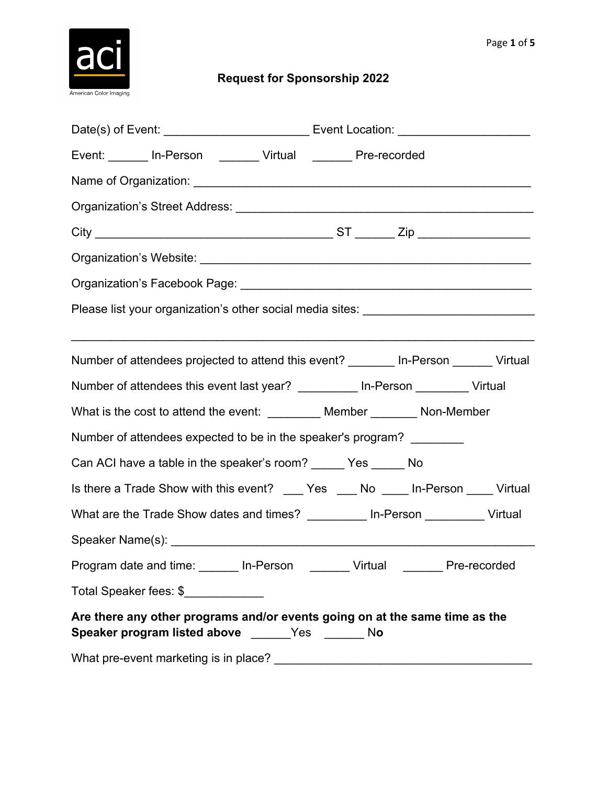

## **Request for Sponsorship 2022**

| Event: _______ In-Person ________ Virtual _______ Pre-recorded                                                                  |  |  |  |
|---------------------------------------------------------------------------------------------------------------------------------|--|--|--|
|                                                                                                                                 |  |  |  |
|                                                                                                                                 |  |  |  |
|                                                                                                                                 |  |  |  |
|                                                                                                                                 |  |  |  |
|                                                                                                                                 |  |  |  |
| Please list your organization's other social media sites: _______________________                                               |  |  |  |
|                                                                                                                                 |  |  |  |
| Number of attendees projected to attend this event? ________ In-Person _______ Virtual                                          |  |  |  |
| Number of attendees this event last year? __________ In-Person _________ Virtual                                                |  |  |  |
|                                                                                                                                 |  |  |  |
| What is the cost to attend the event: _________ Member ________ Non-Member                                                      |  |  |  |
| Number of attendees expected to be in the speaker's program?                                                                    |  |  |  |
| Can ACI have a table in the speaker's room? ______ Yes ______ No                                                                |  |  |  |
| Is there a Trade Show with this event? ____ Yes ____ No ____ In-Person ____ Virtual                                             |  |  |  |
| What are the Trade Show dates and times? _________ In-Person __________ Virtual                                                 |  |  |  |
|                                                                                                                                 |  |  |  |
| Program date and time: ______ In-Person _______ Virtual ______ Pre-recorded                                                     |  |  |  |
| Total Speaker fees: \$_____________                                                                                             |  |  |  |
| Are there any other programs and/or events going on at the same time as the<br>Speaker program listed above ______Yes ______ No |  |  |  |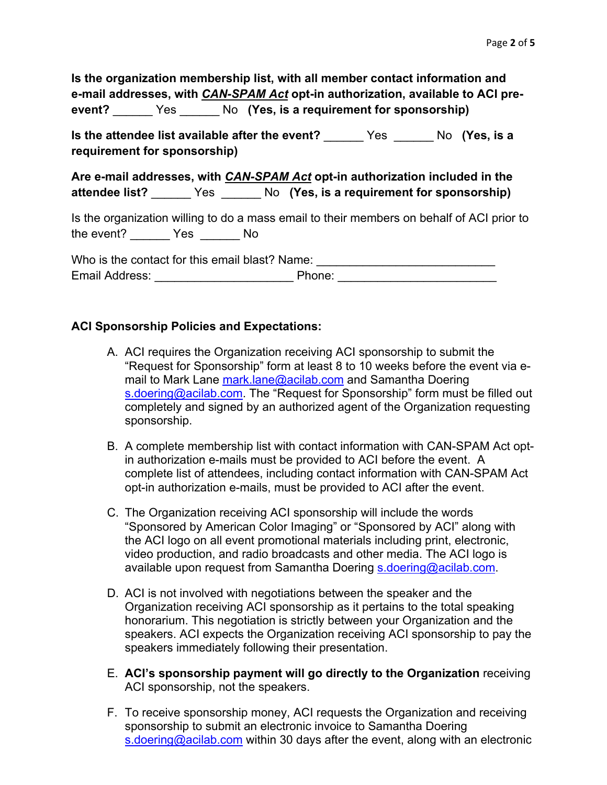| Is the organization membership list, with all member contact information and |      |  |                                                                                        |
|------------------------------------------------------------------------------|------|--|----------------------------------------------------------------------------------------|
|                                                                              |      |  | e-mail addresses, with <i>CAN-SPAM Act</i> opt-in authorization, available to ACI pre- |
| event?                                                                       | Yes: |  | No (Yes, is a requirement for sponsorship)                                             |

**Is the attendee list available after the event?** \_\_\_\_\_\_ Yes \_\_\_\_\_\_ No **(Yes, is a requirement for sponsorship)**

**Are e-mail addresses, with** *CAN-SPAM Act* **opt-in authorization included in the attendee list?** \_\_\_\_\_\_ Yes \_\_\_\_\_\_ No **(Yes, is a requirement for sponsorship)**

Is the organization willing to do a mass email to their members on behalf of ACI prior to the event? \_\_\_\_\_\_ Yes \_\_\_\_\_\_ No

Who is the contact for this email blast? Name: Email Address: \_\_\_\_\_\_\_\_\_\_\_\_\_\_\_\_\_\_\_\_\_ Phone: \_\_\_\_\_\_\_\_\_\_\_\_\_\_\_\_\_\_\_\_\_\_\_\_

## **ACI Sponsorship Policies and Expectations:**

- A. ACI requires the Organization receiving ACI sponsorship to submit the "Request for Sponsorship" form at least 8 to 10 weeks before the event via email to Mark Lane mark.lane@acilab.com and Samantha Doering s.doering@acilab.com. The "Request for Sponsorship" form must be filled out completely and signed by an authorized agent of the Organization requesting sponsorship.
- B. A complete membership list with contact information with CAN-SPAM Act optin authorization e-mails must be provided to ACI before the event. A complete list of attendees, including contact information with CAN-SPAM Act opt-in authorization e-mails, must be provided to ACI after the event.
- C. The Organization receiving ACI sponsorship will include the words "Sponsored by American Color Imaging" or "Sponsored by ACI" along with the ACI logo on all event promotional materials including print, electronic, video production, and radio broadcasts and other media. The ACI logo is available upon request from Samantha Doering s.doering@acilab.com.
- D. ACI is not involved with negotiations between the speaker and the Organization receiving ACI sponsorship as it pertains to the total speaking honorarium. This negotiation is strictly between your Organization and the speakers. ACI expects the Organization receiving ACI sponsorship to pay the speakers immediately following their presentation.
- E. **ACI's sponsorship payment will go directly to the Organization** receiving ACI sponsorship, not the speakers.
- F. To receive sponsorship money, ACI requests the Organization and receiving sponsorship to submit an electronic invoice to Samantha Doering s.doering@acilab.com within 30 days after the event, along with an electronic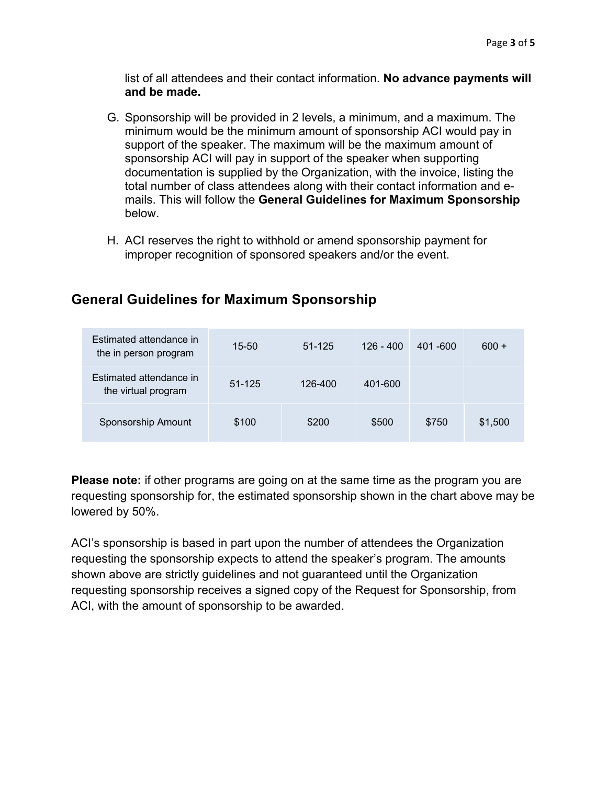list of all attendees and their contact information. **No advance payments will and be made.**

- G. Sponsorship will be provided in 2 levels, a minimum, and a maximum. The minimum would be the minimum amount of sponsorship ACI would pay in support of the speaker. The maximum will be the maximum amount of sponsorship ACI will pay in support of the speaker when supporting documentation is supplied by the Organization, with the invoice, listing the total number of class attendees along with their contact information and emails. This will follow the **General Guidelines for Maximum Sponsorship**  below.
- H. ACI reserves the right to withhold or amend sponsorship payment for improper recognition of sponsored speakers and/or the event.

| Estimated attendance in<br>the in person program | $15 - 50$  | $51 - 125$ | $126 - 400$ | $401 - 600$ | $600 +$ |
|--------------------------------------------------|------------|------------|-------------|-------------|---------|
| Estimated attendance in<br>the virtual program   | $51 - 125$ | 126-400    | 401-600     |             |         |
| Sponsorship Amount                               | \$100      | \$200      | \$500       | \$750       | \$1,500 |

## **General Guidelines for Maximum Sponsorship**

**Please note:** if other programs are going on at the same time as the program you are requesting sponsorship for, the estimated sponsorship shown in the chart above may be lowered by 50%.

ACI's sponsorship is based in part upon the number of attendees the Organization requesting the sponsorship expects to attend the speaker's program. The amounts shown above are strictly guidelines and not guaranteed until the Organization requesting sponsorship receives a signed copy of the Request for Sponsorship, from ACI, with the amount of sponsorship to be awarded.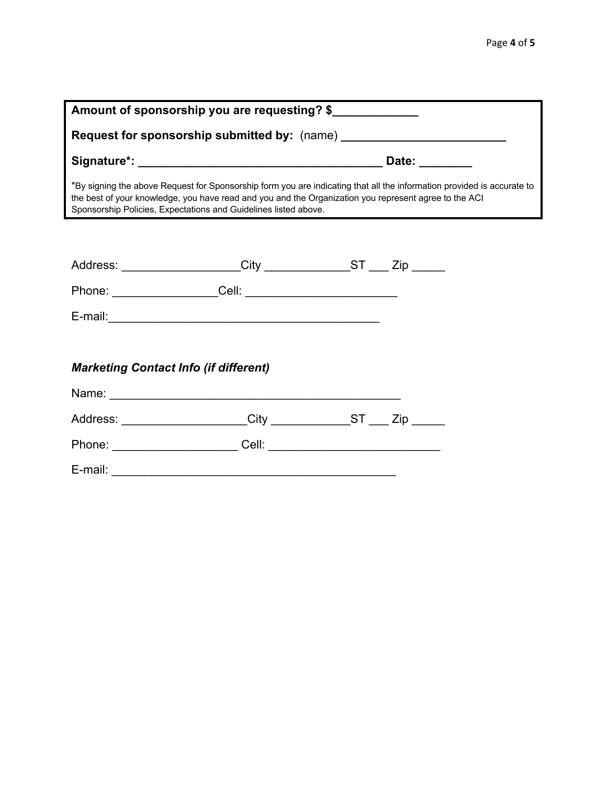| Amount of sponsorship you are requesting? \$                                                                                                                                                                                                                                                       |  |  |  |
|----------------------------------------------------------------------------------------------------------------------------------------------------------------------------------------------------------------------------------------------------------------------------------------------------|--|--|--|
| Request for sponsorship submitted by: (name) ___________________________________                                                                                                                                                                                                                   |  |  |  |
|                                                                                                                                                                                                                                                                                                    |  |  |  |
| *By signing the above Request for Sponsorship form you are indicating that all the information provided is accurate to<br>the best of your knowledge, you have read and you and the Organization you represent agree to the ACI<br>Sponsorship Policies, Expectations and Guidelines listed above. |  |  |  |
|                                                                                                                                                                                                                                                                                                    |  |  |  |
| Address: ___________________City ______________ST ____ Zip _____                                                                                                                                                                                                                                   |  |  |  |
|                                                                                                                                                                                                                                                                                                    |  |  |  |
| E-mail: 2008 2009 2010 2020 2021 2021 2022 2022 2023 2024 2022 2023 2024 2022 2023 2024 2022 2023 2024 2022 20                                                                                                                                                                                     |  |  |  |
|                                                                                                                                                                                                                                                                                                    |  |  |  |
| <b>Marketing Contact Info (if different)</b>                                                                                                                                                                                                                                                       |  |  |  |
|                                                                                                                                                                                                                                                                                                    |  |  |  |
| Address: ____________________City ____________ST ___ Zip _____                                                                                                                                                                                                                                     |  |  |  |
|                                                                                                                                                                                                                                                                                                    |  |  |  |
|                                                                                                                                                                                                                                                                                                    |  |  |  |